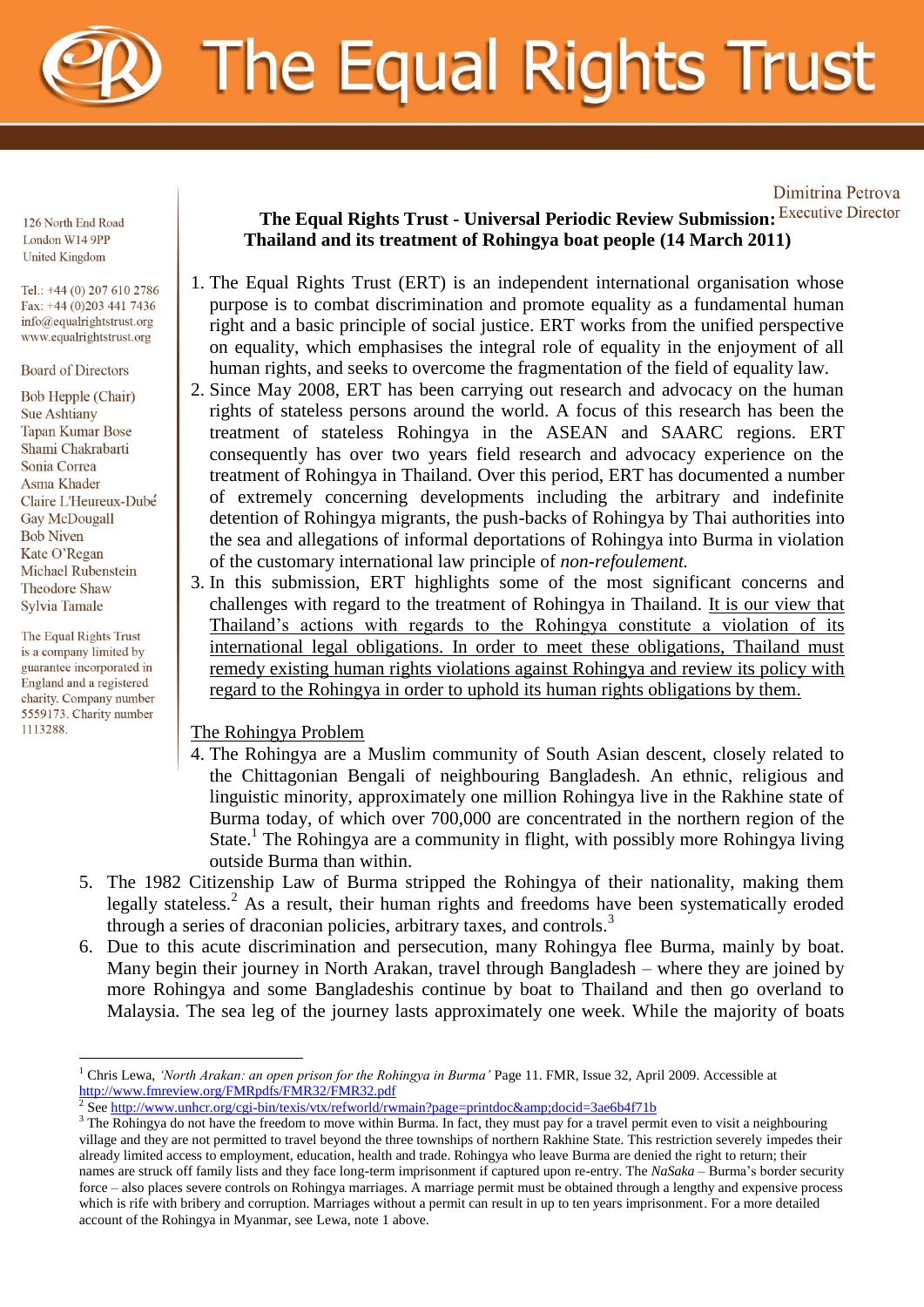

126 North End Road London W14 9PP **United Kingdom** 

Tel.: +44 (0) 207 610 2786 Fax: +44 (0)203 441 7436  $info@equalrightstrust.org$ www.equalrightstrust.org

**Board of Directors** 

**Bob Hepple (Chair) Sue Ashtiany Tapan Kumar Bose** Shami Chakrabarti Sonia Correa Asma Khader Claire L'Heureux-Dubé **Gay McDougall Bob Niven** Kate O'Regan Michael Rubenstein **Theodore Shaw** Sylvia Tamale

The Equal Rights Trust is a company limited by guarantee incorporated in England and a registered charity. Company number 5559173. Charity number 1113288

## **The Equal Rights Trust - Universal Periodic Review Submission: Thailand and its treatment of Rohingya boat people (14 March 2011)**

Dimitrina Petrova

- 1. The Equal Rights Trust (ERT) is an independent international organisation whose purpose is to combat discrimination and promote equality as a fundamental human right and a basic principle of social justice. ERT works from the unified perspective on equality, which emphasises the integral role of equality in the enjoyment of all human rights, and seeks to overcome the fragmentation of the field of equality law.
- 2. Since May 2008, ERT has been carrying out research and advocacy on the human rights of stateless persons around the world. A focus of this research has been the treatment of stateless Rohingya in the ASEAN and SAARC regions. ERT consequently has over two years field research and advocacy experience on the treatment of Rohingya in Thailand. Over this period, ERT has documented a number of extremely concerning developments including the arbitrary and indefinite detention of Rohingya migrants, the push-backs of Rohingya by Thai authorities into the sea and allegations of informal deportations of Rohingya into Burma in violation of the customary international law principle of *non-refoulement.*
- 3. In this submission, ERT highlights some of the most significant concerns and challenges with regard to the treatment of Rohingya in Thailand. It is our view that Thailand's actions with regards to the Rohingya constitute a violation of its international legal obligations. In order to meet these obligations, Thailand must remedy existing human rights violations against Rohingya and review its policy with regard to the Rohingya in order to uphold its human rights obligations by them.

The Rohingya Problem

- 4. The Rohingya are a Muslim community of South Asian descent, closely related to the Chittagonian Bengali of neighbouring Bangladesh. An ethnic, religious and linguistic minority, approximately one million Rohingya live in the Rakhine state of Burma today, of which over 700,000 are concentrated in the northern region of the State.<sup>1</sup> The Rohingya are a community in flight, with possibly more Rohingya living outside Burma than within.
- 5. The 1982 Citizenship Law of Burma stripped the Rohingya of their nationality, making them legally stateless.<sup>2</sup> As a result, their human rights and freedoms have been systematically eroded through a series of draconian policies, arbitrary taxes, and controls.<sup>3</sup>
- 6. Due to this acute discrimination and persecution, many Rohingya flee Burma, mainly by boat. Many begin their journey in North Arakan, travel through Bangladesh – where they are joined by more Rohingya and some Bangladeshis continue by boat to Thailand and then go overland to Malaysia. The sea leg of the journey lasts approximately one week. While the majority of boats

<sup>&</sup>lt;u>.</u> <sup>1</sup> Chris Lewa, *'North Arakan: an open prison for the Rohingya in Burma'* Page 11. FMR, Issue 32, April 2009. Accessible at <http://www.fmreview.org/FMRpdfs/FMR32/FMR32.pdf><br>2 See http://www.ypher.org/egi.hip/toxis/isty/refy/culd/w

See http://www.unhcr.org/cgi-bin/texis/vtx/refworld/rwmain?page=printdoc&amp:docid=3ae6b4f71b

<sup>&</sup>lt;sup>3</sup> The Rohingya do not have the freedom to move within Burma. In fact, they must pay for a travel permit even to visit a neighbouring village and they are not permitted to travel beyond the three townships of northern Rakhine State. This restriction severely impedes their already limited access to employment, education, health and trade. Rohingya who leave Burma are denied the right to return; their names are struck off family lists and they face long-term imprisonment if captured upon re-entry. The *NaSaka* – Burma's border security force – also places severe controls on Rohingya marriages. A marriage permit must be obtained through a lengthy and expensive process which is rife with bribery and corruption. Marriages without a permit can result in up to ten years imprisonment. For a more detailed account of the Rohingya in Myanmar, see Lewa, note 1 above.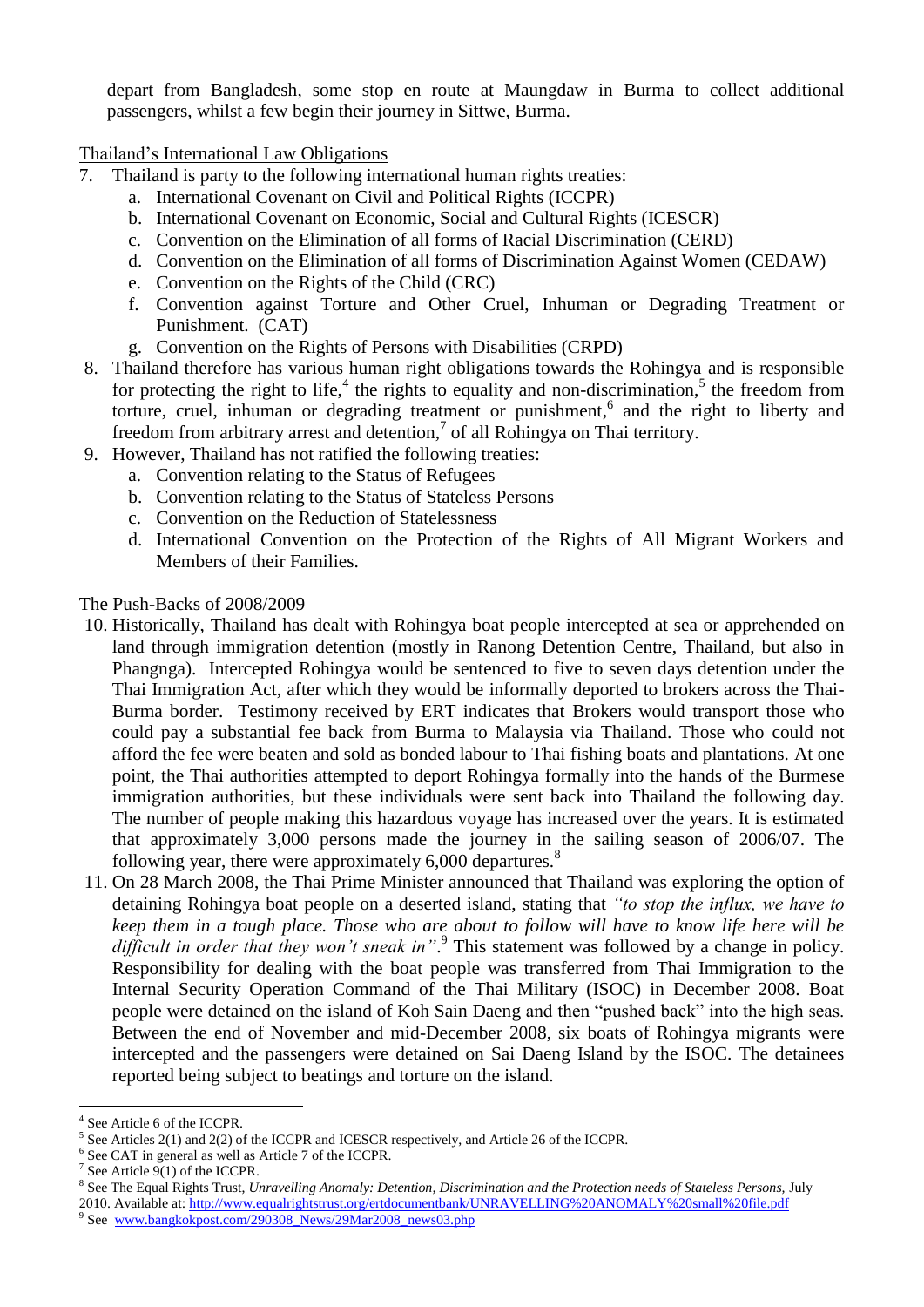depart from Bangladesh, some stop en route at Maungdaw in Burma to collect additional passengers, whilst a few begin their journey in Sittwe, Burma.

Thailand's International Law Obligations

- 7. Thailand is party to the following international human rights treaties:
	- a. International Covenant on Civil and Political Rights (ICCPR)
	- b. International Covenant on Economic, Social and Cultural Rights (ICESCR)
	- c. Convention on the Elimination of all forms of Racial Discrimination (CERD)
	- d. Convention on the Elimination of all forms of Discrimination Against Women (CEDAW)
	- e. Convention on the Rights of the Child (CRC)
	- f. Convention against Torture and Other Cruel, Inhuman or Degrading Treatment or Punishment. (CAT)
	- g. Convention on the Rights of Persons with Disabilities (CRPD)
- 8. Thailand therefore has various human right obligations towards the Rohingya and is responsible for protecting the right to life,<sup>4</sup> the rights to equality and non-discrimination,<sup>5</sup> the freedom from torture, cruel, inhuman or degrading treatment or punishment, 6 and the right to liberty and freedom from arbitrary arrest and detention,<sup>7</sup> of all Rohingya on Thai territory.
- 9. However, Thailand has not ratified the following treaties:
	- a. Convention relating to the Status of Refugees
	- b. Convention relating to the Status of Stateless Persons
	- c. Convention on the Reduction of Statelessness
	- d. International Convention on the Protection of the Rights of All Migrant Workers and Members of their Families.

The Push-Backs of 2008/2009

- 10. Historically, Thailand has dealt with Rohingya boat people intercepted at sea or apprehended on land through immigration detention (mostly in Ranong Detention Centre, Thailand, but also in Phangnga). Intercepted Rohingya would be sentenced to five to seven days detention under the Thai Immigration Act, after which they would be informally deported to brokers across the Thai-Burma border. Testimony received by ERT indicates that Brokers would transport those who could pay a substantial fee back from Burma to Malaysia via Thailand. Those who could not afford the fee were beaten and sold as bonded labour to Thai fishing boats and plantations. At one point, the Thai authorities attempted to deport Rohingya formally into the hands of the Burmese immigration authorities, but these individuals were sent back into Thailand the following day. The number of people making this hazardous voyage has increased over the years. It is estimated that approximately 3,000 persons made the journey in the sailing season of 2006/07. The following year, there were approximately  $6,000$  departures.<sup>8</sup>
- 11. On 28 March 2008, the Thai Prime Minister announced that Thailand was exploring the option of detaining Rohingya boat people on a deserted island, stating that *"to stop the influx, we have to keep them in a tough place. Those who are about to follow will have to know life here will be difficult in order that they won"t sneak in"*. 9 This statement was followed by a change in policy. Responsibility for dealing with the boat people was transferred from Thai Immigration to the Internal Security Operation Command of the Thai Military (ISOC) in December 2008. Boat people were detained on the island of Koh Sain Daeng and then "pushed back" into the high seas. Between the end of November and mid-December 2008, six boats of Rohingya migrants were intercepted and the passengers were detained on Sai Daeng Island by the ISOC. The detainees reported being subject to beatings and torture on the island.

<u>.</u>

<sup>4</sup> See Article 6 of the ICCPR.

<sup>&</sup>lt;sup>5</sup> See Articles 2(1) and 2(2) of the ICCPR and ICESCR respectively, and Article 26 of the ICCPR.

<sup>&</sup>lt;sup>6</sup> See CAT in general as well as Article 7 of the ICCPR.

<sup>&</sup>lt;sup>7</sup> See Article  $9(1)$  of the ICCPR.

<sup>&</sup>lt;sup>8</sup> See The Equal Rights Trust, *Unravelling Anomaly: Detention, Discrimination and the Protection needs of Stateless Persons, July* 2010. Available at:<http://www.equalrightstrust.org/ertdocumentbank/UNRAVELLING%20ANOMALY%20small%20file.pdf>

<sup>&</sup>lt;sup>9</sup> See [www.bangkokpost.com/290308\\_News/29Mar2008\\_news03.php](http://www.bangkokpost.com/290308_News/29Mar2008_news03.php)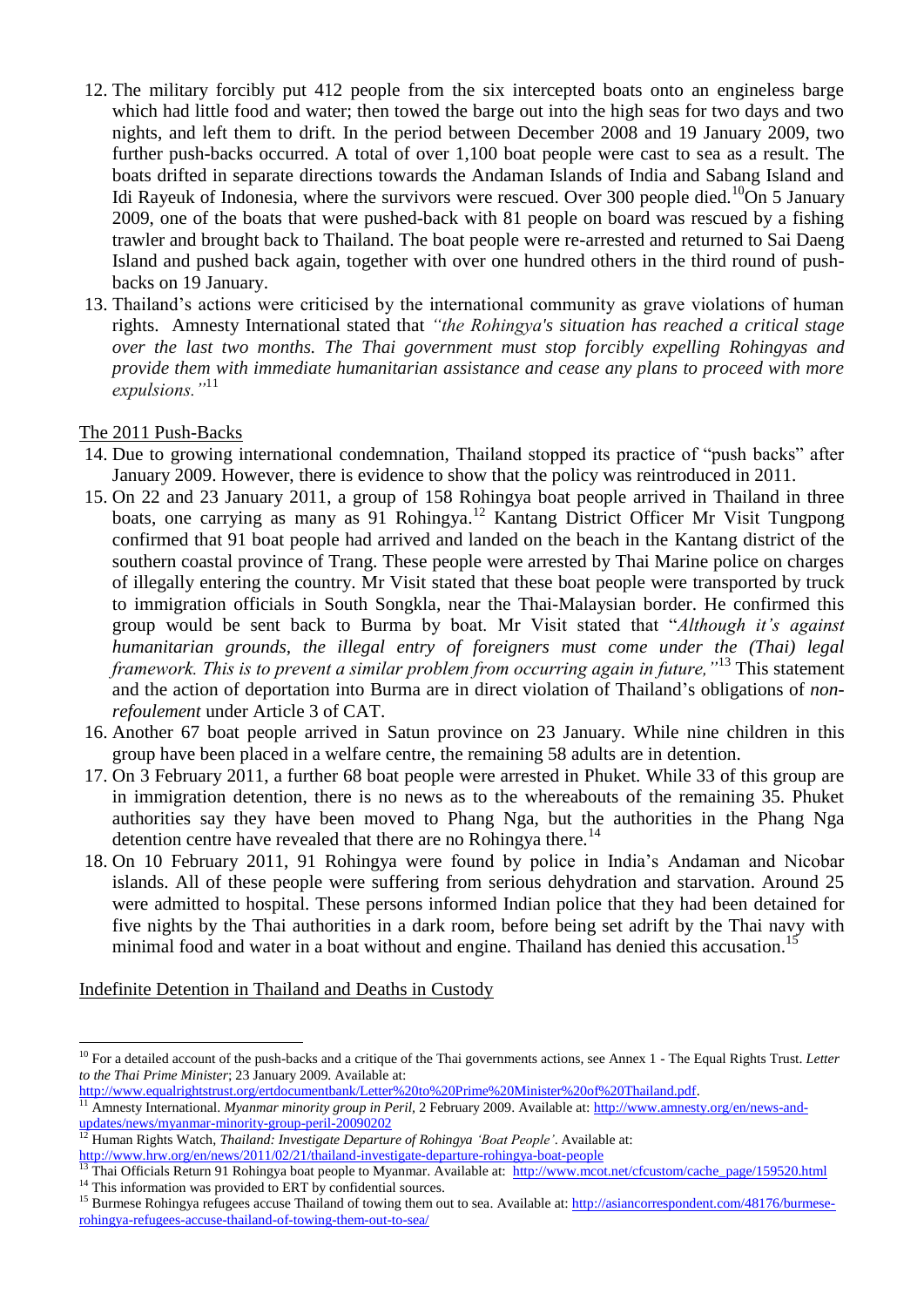- 12. The military forcibly put 412 people from the six intercepted boats onto an engineless barge which had little food and water; then towed the barge out into the high seas for two days and two nights, and left them to drift. In the period between December 2008 and 19 January 2009, two further push-backs occurred. A total of over 1,100 boat people were cast to sea as a result. The boats drifted in separate directions towards the Andaman Islands of India and Sabang Island and Idi Rayeuk of Indonesia, where the survivors were rescued. Over 300 people died.<sup>10</sup>On 5 January 2009, one of the boats that were pushed-back with 81 people on board was rescued by a fishing trawler and brought back to Thailand. The boat people were re-arrested and returned to Sai Daeng Island and pushed back again, together with over one hundred others in the third round of pushbacks on 19 January.
- 13. Thailand's actions were criticised by the international community as grave violations of human rights. Amnesty International stated that *"the Rohingya's situation has reached a critical stage over the last two months. The Thai government must stop forcibly expelling Rohingyas and provide them with immediate humanitarian assistance and cease any plans to proceed with more expulsions."*<sup>11</sup>

## The 2011 Push-Backs

1

- 14. Due to growing international condemnation, Thailand stopped its practice of "push backs" after January 2009. However, there is evidence to show that the policy was reintroduced in 2011.
- 15. On 22 and 23 January 2011, a group of 158 Rohingya boat people arrived in Thailand in three boats, one carrying as many as 91 Rohingya.<sup>12</sup> Kantang District Officer Mr Visit Tungpong confirmed that 91 boat people had arrived and landed on the beach in the Kantang district of the southern coastal province of Trang. These people were arrested by Thai Marine police on charges of illegally entering the country. Mr Visit stated that these boat people were transported by truck to immigration officials in South Songkla, near the Thai-Malaysian border. He confirmed this group would be sent back to Burma by boat. Mr Visit stated that "*Although it"s against humanitarian grounds, the illegal entry of foreigners must come under the (Thai) legal framework. This is to prevent a similar problem from occurring again in future,"*<sup>13</sup> This statement and the action of deportation into Burma are in direct violation of Thailand's obligations of *nonrefoulement* under Article 3 of CAT.
- 16. Another 67 boat people arrived in Satun province on 23 January. While nine children in this group have been placed in a welfare centre, the remaining 58 adults are in detention.
- 17. On 3 February 2011, a further 68 boat people were arrested in Phuket. While 33 of this group are in immigration detention, there is no news as to the whereabouts of the remaining 35. Phuket authorities say they have been moved to Phang Nga, but the authorities in the Phang Nga detention centre have revealed that there are no Rohingya there.<sup>14</sup>
- 18. On 10 February 2011, 91 Rohingya were found by police in India's Andaman and Nicobar islands. All of these people were suffering from serious dehydration and starvation. Around 25 were admitted to hospital. These persons informed Indian police that they had been detained for five nights by the Thai authorities in a dark room, before being set adrift by the Thai navy with minimal food and water in a boat without and engine. Thailand has denied this accusation.<sup>15</sup>

Indefinite Detention in Thailand and Deaths in Custody

<sup>&</sup>lt;sup>10</sup> For a detailed account of the push-backs and a critique of the Thai governments actions, see Annex 1 - The Equal Rights Trust. Letter *to the Thai Prime Minister*; 23 January 2009. Available at:

[http://www.equalrightstrust.org/ertdocumentbank/Letter%20to%20Prime%20Minister%20of%20Thailand.pdf.](http://www.equalrightstrust.org/ertdocumentbank/Letter%20to%20Prime%20Minister%20of%20Thailand.pdf)

<sup>11</sup> Amnesty International. *Myanmar minority group in Peril,* 2 February 2009. Available at[: http://www.amnesty.org/en/news-and](http://www.amnesty.org/en/news-and-updates/news/myanmar-minority-group-peril-20090202)[updates/news/myanmar-minority-group-peril-20090202](http://www.amnesty.org/en/news-and-updates/news/myanmar-minority-group-peril-20090202)

<sup>&</sup>lt;sup>12</sup> Human Rights Watch, *Thailand: Investigate Departure of Rohingya 'Boat People'*. Available at: <http://www.hrw.org/en/news/2011/02/21/thailand-investigate-departure-rohingya-boat-people>

Thai Officials Return 91 Rohingya boat people to Myanmar. Available at: [http://www.mcot.net/cfcustom/cache\\_page/159520.html](http://www.mcot.net/cfcustom/cache_page/159520.html)

<sup>&</sup>lt;sup>14</sup> This information was provided to ERT by confidential sources.

<sup>&</sup>lt;sup>15</sup> Burmese Rohingya refugees accuse Thailand of towing them out to sea. Available at[: http://asiancorrespondent.com/48176/burmese](http://asiancorrespondent.com/48176/burmese-rohingya-refugees-accuse-thailand-of-towing-them-out-to-sea/)[rohingya-refugees-accuse-thailand-of-towing-them-out-to-sea/](http://asiancorrespondent.com/48176/burmese-rohingya-refugees-accuse-thailand-of-towing-them-out-to-sea/)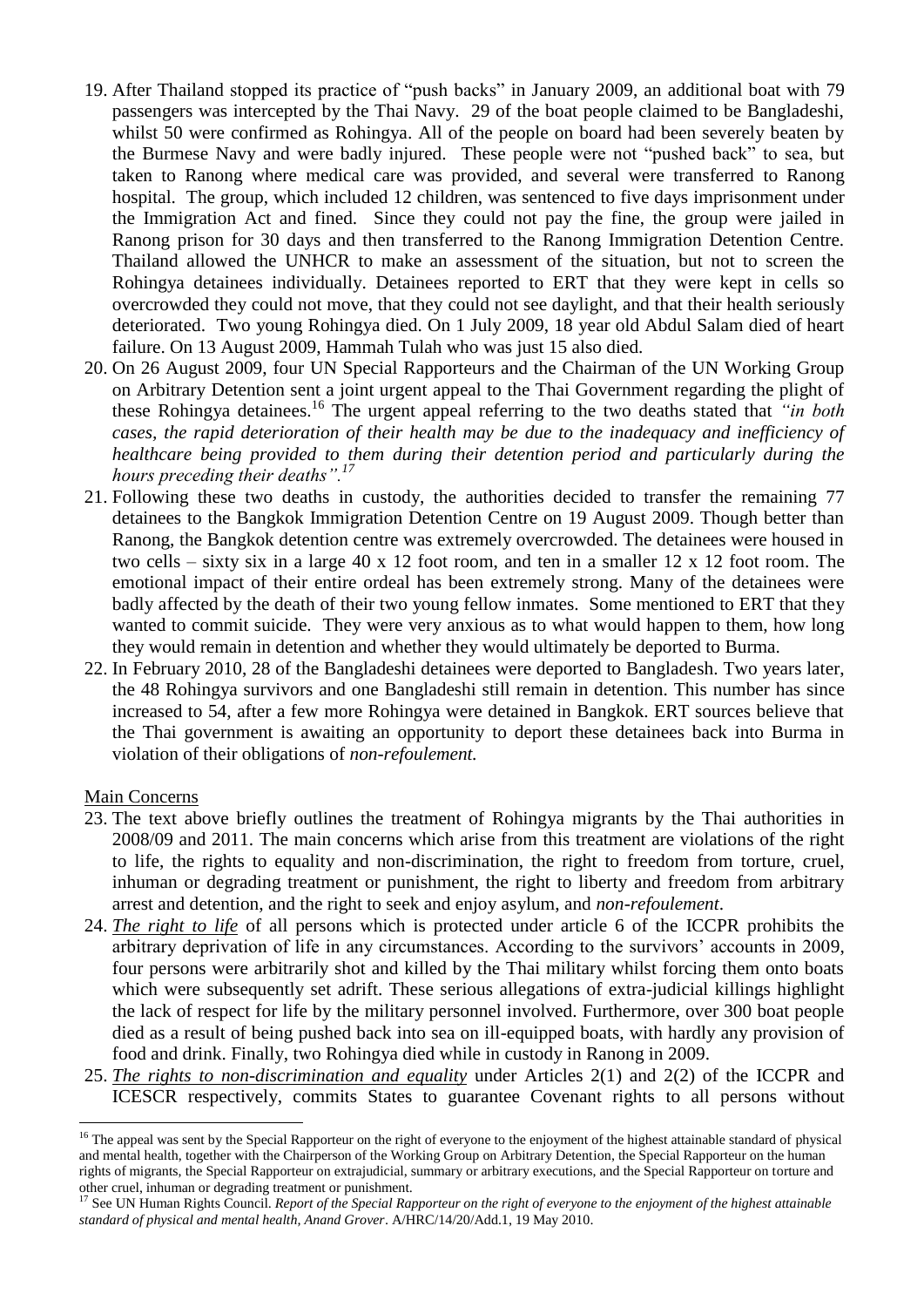- 19. After Thailand stopped its practice of "push backs" in January 2009, an additional boat with 79 passengers was intercepted by the Thai Navy. 29 of the boat people claimed to be Bangladeshi, whilst 50 were confirmed as Rohingya. All of the people on board had been severely beaten by the Burmese Navy and were badly injured. These people were not "pushed back" to sea, but taken to Ranong where medical care was provided, and several were transferred to Ranong hospital. The group, which included 12 children, was sentenced to five days imprisonment under the Immigration Act and fined. Since they could not pay the fine, the group were jailed in Ranong prison for 30 days and then transferred to the Ranong Immigration Detention Centre. Thailand allowed the UNHCR to make an assessment of the situation, but not to screen the Rohingya detainees individually. Detainees reported to ERT that they were kept in cells so overcrowded they could not move, that they could not see daylight, and that their health seriously deteriorated. Two young Rohingya died. On 1 July 2009, 18 year old Abdul Salam died of heart failure. On 13 August 2009, Hammah Tulah who was just 15 also died.
- 20. On 26 August 2009, four UN Special Rapporteurs and the Chairman of the UN Working Group on Arbitrary Detention sent a joint urgent appeal to the Thai Government regarding the plight of these Rohingya detainees.<sup>16</sup> The urgent appeal referring to the two deaths stated that *"in both cases, the rapid deterioration of their health may be due to the inadequacy and inefficiency of healthcare being provided to them during their detention period and particularly during the hours preceding their deaths".<sup>17</sup>*
- 21. Following these two deaths in custody, the authorities decided to transfer the remaining 77 detainees to the Bangkok Immigration Detention Centre on 19 August 2009. Though better than Ranong, the Bangkok detention centre was extremely overcrowded. The detainees were housed in two cells – sixty six in a large 40 x 12 foot room, and ten in a smaller 12 x 12 foot room. The emotional impact of their entire ordeal has been extremely strong. Many of the detainees were badly affected by the death of their two young fellow inmates. Some mentioned to ERT that they wanted to commit suicide. They were very anxious as to what would happen to them, how long they would remain in detention and whether they would ultimately be deported to Burma.
- 22. In February 2010, 28 of the Bangladeshi detainees were deported to Bangladesh. Two years later, the 48 Rohingya survivors and one Bangladeshi still remain in detention. This number has since increased to 54, after a few more Rohingya were detained in Bangkok. ERT sources believe that the Thai government is awaiting an opportunity to deport these detainees back into Burma in violation of their obligations of *non-refoulement.*

## Main Concerns

1

- 23. The text above briefly outlines the treatment of Rohingya migrants by the Thai authorities in 2008/09 and 2011. The main concerns which arise from this treatment are violations of the right to life, the rights to equality and non-discrimination, the right to freedom from torture, cruel, inhuman or degrading treatment or punishment, the right to liberty and freedom from arbitrary arrest and detention, and the right to seek and enjoy asylum, and *non-refoulement*.
- 24. *The right to life* of all persons which is protected under article 6 of the ICCPR prohibits the arbitrary deprivation of life in any circumstances. According to the survivors' accounts in 2009, four persons were arbitrarily shot and killed by the Thai military whilst forcing them onto boats which were subsequently set adrift. These serious allegations of extra-judicial killings highlight the lack of respect for life by the military personnel involved. Furthermore, over 300 boat people died as a result of being pushed back into sea on ill-equipped boats, with hardly any provision of food and drink. Finally, two Rohingya died while in custody in Ranong in 2009.
- 25. *The rights to non-discrimination and equality* under Articles 2(1) and 2(2) of the ICCPR and ICESCR respectively, commits States to guarantee Covenant rights to all persons without

<sup>&</sup>lt;sup>16</sup> The appeal was sent by the Special Rapporteur on the right of everyone to the enjoyment of the highest attainable standard of physical and mental health, together with the Chairperson of the Working Group on Arbitrary Detention, the Special Rapporteur on the human rights of migrants, the Special Rapporteur on extrajudicial, summary or arbitrary executions, and the Special Rapporteur on torture and other cruel, inhuman or degrading treatment or punishment.

<sup>&</sup>lt;sup>17</sup> See UN Human Rights Council. *Report of the Special Rapporteur on the right of everyone to the enjoyment of the highest attainable standard of physical and mental health, Anand Grover*. A/HRC/14/20/Add.1, 19 May 2010.